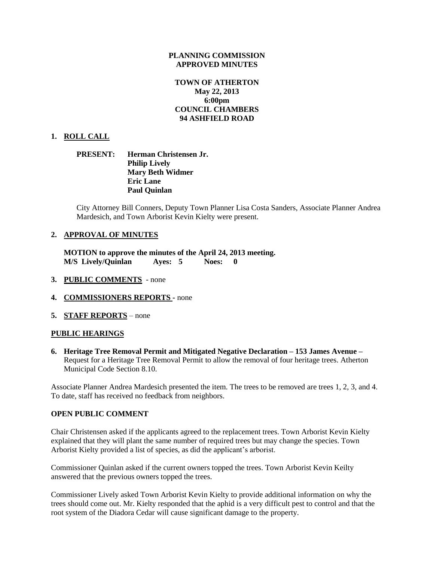#### **PLANNING COMMISSION APPROVED MINUTES**

# **TOWN OF ATHERTON May 22, 2013 6:00pm COUNCIL CHAMBERS 94 ASHFIELD ROAD**

#### **1. ROLL CALL**

## **PRESENT: Herman Christensen Jr. Philip Lively Mary Beth Widmer Eric Lane Paul Quinlan**

City Attorney Bill Conners, Deputy Town Planner Lisa Costa Sanders, Associate Planner Andrea Mardesich, and Town Arborist Kevin Kielty were present.

#### **2. APPROVAL OF MINUTES**

**MOTION to approve the minutes of the April 24, 2013 meeting. M/S Lively/Quinlan Ayes: 5 Noes: 0** 

- **3. PUBLIC COMMENTS**  none
- **4. COMMISSIONERS REPORTS -** none
- **5. STAFF REPORTS** none

#### **PUBLIC HEARINGS**

**6. Heritage Tree Removal Permit and Mitigated Negative Declaration – 153 James Avenue –** Request for a Heritage Tree Removal Permit to allow the removal of four heritage trees. Atherton Municipal Code Section 8.10.

Associate Planner Andrea Mardesich presented the item. The trees to be removed are trees 1, 2, 3, and 4. To date, staff has received no feedback from neighbors.

#### **OPEN PUBLIC COMMENT**

Chair Christensen asked if the applicants agreed to the replacement trees. Town Arborist Kevin Kielty explained that they will plant the same number of required trees but may change the species. Town Arborist Kielty provided a list of species, as did the applicant's arborist.

Commissioner Quinlan asked if the current owners topped the trees. Town Arborist Kevin Keilty answered that the previous owners topped the trees.

Commissioner Lively asked Town Arborist Kevin Kielty to provide additional information on why the trees should come out. Mr. Kielty responded that the aphid is a very difficult pest to control and that the root system of the Diadora Cedar will cause significant damage to the property.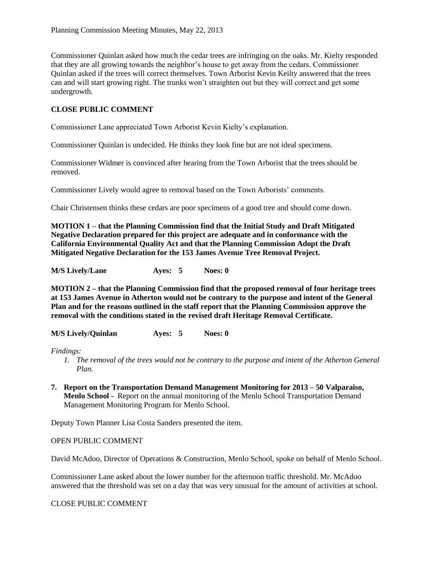Commissioner Quinlan asked how much the cedar trees are infringing on the oaks. Mr. Kielty responded that they are all growing towards the neighbor's house to get away from the cedars. Commissioner Quinlan asked if the trees will correct themselves. Town Arborist Kevin Keilty answered that the trees can and will start growing right. The trunks won't straighten out but they will correct and get some undergrowth.

# **CLOSE PUBLIC COMMENT**

Commissioner Lane appreciated Town Arborist Kevin Kielty's explanation.

Commissioner Quinlan is undecided. He thinks they look fine but are not ideal specimens.

Commissioner Widmer is convinced after hearing from the Town Arborist that the trees should be removed.

Commissioner Lively would agree to removal based on the Town Arborists' comments.

Chair Christensen thinks these cedars are poor specimens of a good tree and should come down.

**MOTION 1 – that the Planning Commission find that the Initial Study and Draft Mitigated Negative Declaration prepared for this project are adequate and in conformance with the California Environmental Quality Act and that the Planning Commission Adopt the Draft Mitigated Negative Declaration for the 153 James Avenue Tree Removal Project.**

**M/S Lively/Lane Ayes: 5 Noes: 0**

**MOTION 2 – that the Planning Commission find that the proposed removal of four heritage trees at 153 James Avenue in Atherton would not be contrary to the purpose and intent of the General Plan and for the reasons outlined in the staff report that the Planning Commission approve the removal with the conditions stated in the revised draft Heritage Removal Certificate.**

**M/S Lively/Quinlan Ayes: 5 Noes: 0**

*Findings:*

- *1. The removal of the trees would not be contrary to the purpose and intent of the Atherton General Plan.*
- **7. Report on the Transportation Demand Management Monitoring for 2013 – 50 Valparaiso, Menlo School -** Report on the annual monitoring of the Menlo School Transportation Demand Management Monitoring Program for Menlo School.

Deputy Town Planner Lisa Costa Sanders presented the item.

#### OPEN PUBLIC COMMENT

David McAdoo, Director of Operations & Construction, Menlo School, spoke on behalf of Menlo School.

Commissioner Lane asked about the lower number for the afternoon traffic threshold. Mr. McAdoo answered that the threshold was set on a day that was very unusual for the amount of activities at school.

CLOSE PUBLIC COMMENT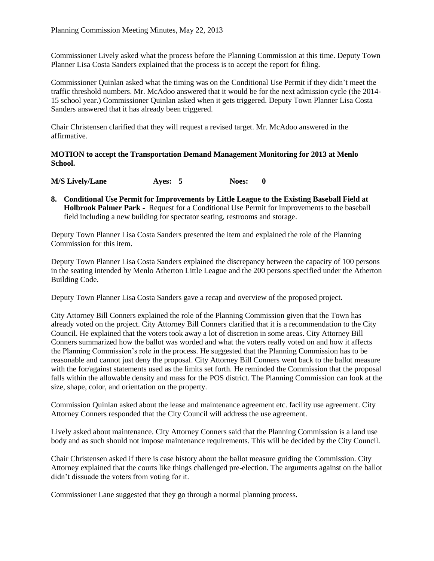Commissioner Lively asked what the process before the Planning Commission at this time. Deputy Town Planner Lisa Costa Sanders explained that the process is to accept the report for filing.

Commissioner Quinlan asked what the timing was on the Conditional Use Permit if they didn't meet the traffic threshold numbers. Mr. McAdoo answered that it would be for the next admission cycle (the 2014- 15 school year.) Commissioner Quinlan asked when it gets triggered. Deputy Town Planner Lisa Costa Sanders answered that it has already been triggered.

Chair Christensen clarified that they will request a revised target. Mr. McAdoo answered in the affirmative.

**MOTION to accept the Transportation Demand Management Monitoring for 2013 at Menlo School.**

**M/S Lively/Lane Ayes: 5 Noes: 0**

**8. Conditional Use Permit for Improvements by Little League to the Existing Baseball Field at Holbrook Palmer Park -** Request for a Conditional Use Permit for improvements to the baseball field including a new building for spectator seating, restrooms and storage.

Deputy Town Planner Lisa Costa Sanders presented the item and explained the role of the Planning Commission for this item.

Deputy Town Planner Lisa Costa Sanders explained the discrepancy between the capacity of 100 persons in the seating intended by Menlo Atherton Little League and the 200 persons specified under the Atherton Building Code.

Deputy Town Planner Lisa Costa Sanders gave a recap and overview of the proposed project.

City Attorney Bill Conners explained the role of the Planning Commission given that the Town has already voted on the project. City Attorney Bill Conners clarified that it is a recommendation to the City Council. He explained that the voters took away a lot of discretion in some areas. City Attorney Bill Conners summarized how the ballot was worded and what the voters really voted on and how it affects the Planning Commission's role in the process. He suggested that the Planning Commission has to be reasonable and cannot just deny the proposal. City Attorney Bill Conners went back to the ballot measure with the for/against statements used as the limits set forth. He reminded the Commission that the proposal falls within the allowable density and mass for the POS district. The Planning Commission can look at the size, shape, color, and orientation on the property.

Commission Quinlan asked about the lease and maintenance agreement etc. facility use agreement. City Attorney Conners responded that the City Council will address the use agreement.

Lively asked about maintenance. City Attorney Conners said that the Planning Commission is a land use body and as such should not impose maintenance requirements. This will be decided by the City Council.

Chair Christensen asked if there is case history about the ballot measure guiding the Commission. City Attorney explained that the courts like things challenged pre-election. The arguments against on the ballot didn't dissuade the voters from voting for it.

Commissioner Lane suggested that they go through a normal planning process.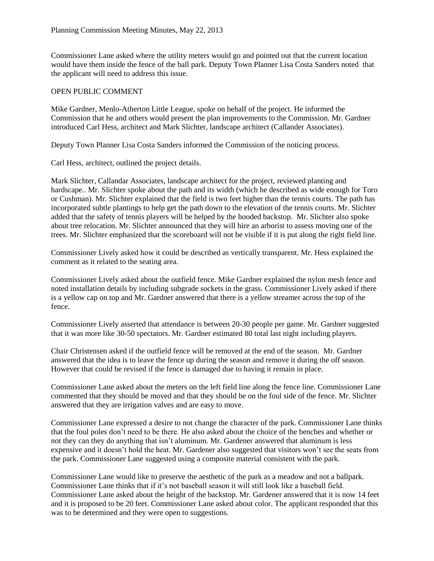Commissioner Lane asked where the utility meters would go and pointed out that the current location would have them inside the fence of the ball park. Deputy Town Planner Lisa Costa Sanders noted that the applicant will need to address this issue.

#### OPEN PUBLIC COMMENT

Mike Gardner, Menlo-Atherton Little League, spoke on behalf of the project. He informed the Commission that he and others would present the plan improvements to the Commission. Mr. Gardner introduced Carl Hess, architect and Mark Slichter, landscape architect (Callander Associates).

Deputy Town Planner Lisa Costa Sanders informed the Commission of the noticing process.

Carl Hess, architect, outlined the project details.

Mark Slichter, Callandar Associates, landscape architect for the project, reviewed planting and hardscape.. Mr. Slichter spoke about the path and its width (which he described as wide enough for Toro or Cushman). Mr. Slichter explained that the field is two feet higher than the tennis courts. The path has incorporated subtle plantings to help get the path down to the elevation of the tennis courts. Mr. Slichter added that the safety of tennis players will be helped by the hooded backstop. Mr. Slichter also spoke about tree relocation. Mr. Slichter announced that they will hire an arborist to assess moving one of the trees. Mr. Slichter emphasized that the scoreboard will not be visible if it is put along the right field line.

Commissioner Lively asked how it could be described as vertically transparent. Mr. Hess explained the comment as it related to the seating area.

Commissioner Lively asked about the outfield fence. Mike Gardner explained the nylon mesh fence and noted installation details by including subgrade sockets in the grass. Commissioner Lively asked if there is a yellow cap on top and Mr. Gardner answered that there is a yellow streamer across the top of the fence.

Commissioner Lively asserted that attendance is between 20-30 people per game. Mr. Gardner suggested that it was more like 30-50 spectators. Mr. Gardner estimated 80 total last night including players.

Chair Christensen asked if the outfield fence will be removed at the end of the season. Mr. Gardner answered that the idea is to leave the fence up during the season and remove it during the off season. However that could be revised if the fence is damaged due to having it remain in place.

Commissioner Lane asked about the meters on the left field line along the fence line. Commissioner Lane commented that they should be moved and that they should be on the foul side of the fence. Mr. Slichter answered that they are irrigation valves and are easy to move.

Commissioner Lane expressed a desire to not change the character of the park. Commissioner Lane thinks that the foul poles don't need to be there. He also asked about the choice of the benches and whether or not they can they do anything that isn't aluminum. Mr. Gardener answered that aluminum is less expensive and it doesn't hold the heat. Mr. Gardener also suggested that visitors won't see the seats from the park. Commissioner Lane suggested using a composite material consistent with the park.

Commissioner Lane would like to preserve the aesthetic of the park as a meadow and not a ballpark. Commissioner Lane thinks that if it's not baseball season it will still look like a baseball field. Commissioner Lane asked about the height of the backstop. Mr. Gardener answered that it is now 14 feet and it is proposed to be 20 feet. Commissioner Lane asked about color. The applicant responded that this was to be determined and they were open to suggestions.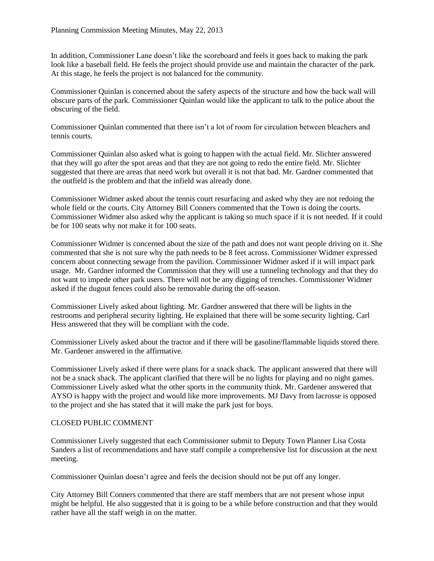In addition, Commissioner Lane doesn't like the scoreboard and feels it goes back to making the park look like a baseball field. He feels the project should provide use and maintain the character of the park. At this stage, he feels the project is not balanced for the community.

Commissioner Quinlan is concerned about the safety aspects of the structure and how the back wall will obscure parts of the park. Commissioner Quinlan would like the applicant to talk to the police about the obscuring of the field.

Commissioner Quinlan commented that there isn't a lot of room for circulation between bleachers and tennis courts.

Commissioner Quinlan also asked what is going to happen with the actual field. Mr. Slichter answered that they will go after the spot areas and that they are not going to redo the entire field. Mr. Slichter suggested that there are areas that need work but overall it is not that bad. Mr. Gardner commented that the outfield is the problem and that the infield was already done.

Commissioner Widmer asked about the tennis court resurfacing and asked why they are not redoing the whole field or the courts. City Attorney Bill Conners commented that the Town is doing the courts. Commissioner Widmer also asked why the applicant is taking so much space if it is not needed. If it could be for 100 seats why not make it for 100 seats.

Commissioner Widmer is concerned about the size of the path and does not want people driving on it. She commented that she is not sure why the path needs to be 8 feet across. Commissioner Widmer expressed concern about connecting sewage from the pavilion. Commissioner Widmer asked if it will impact park usage. Mr. Gardner informed the Commission that they will use a tunneling technology and that they do not want to impede other park users. There will not be any digging of trenches. Commissioner Widmer asked if the dugout fences could also be removable during the off-season.

Commissioner Lively asked about lighting. Mr. Gardner answered that there will be lights in the restrooms and peripheral security lighting. He explained that there will be some security lighting. Carl Hess answered that they will be compliant with the code.

Commissioner Lively asked about the tractor and if there will be gasoline/flammable liquids stored there. Mr. Gardener answered in the affirmative.

Commissioner Lively asked if there were plans for a snack shack. The applicant answered that there will not be a snack shack. The applicant clarified that there will be no lights for playing and no night games. Commissioner Lively asked what the other sports in the community think. Mr. Gardener answered that AYSO is happy with the project and would like more improvements. MJ Davy from lacrosse is opposed to the project and she has stated that it will make the park just for boys.

## CLOSED PUBLIC COMMENT

Commissioner Lively suggested that each Commissioner submit to Deputy Town Planner Lisa Costa Sanders a list of recommendations and have staff compile a comprehensive list for discussion at the next meeting.

Commissioner Quinlan doesn't agree and feels the decision should not be put off any longer.

City Attorney Bill Conners commented that there are staff members that are not present whose input might be helpful. He also suggested that it is going to be a while before construction and that they would rather have all the staff weigh in on the matter.